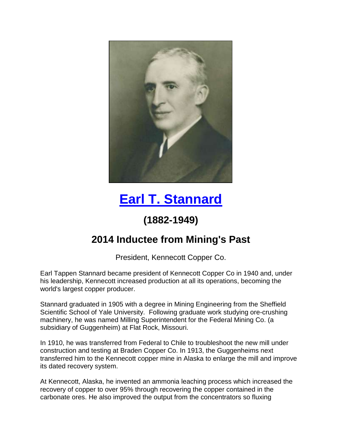

## **[Earl T. Stannard](https://www.youtube.com/watch?v=5k2IA6akcZE)**

## **(1882-1949)**

## **2014 Inductee from Mining's Past**

President, Kennecott Copper Co.

Earl Tappen Stannard became president of Kennecott Copper Co in 1940 and, under his leadership, Kennecott increased production at all its operations, becoming the world's largest copper producer.

Stannard graduated in 1905 with a degree in Mining Engineering from the Sheffield Scientific School of Yale University. Following graduate work studying ore-crushing machinery, he was named Milling Superintendent for the Federal Mining Co. (a subsidiary of Guggenheim) at Flat Rock, Missouri.

In 1910, he was transferred from Federal to Chile to troubleshoot the new mill under construction and testing at Braden Copper Co. In 1913, the Guggenheims next transferred him to the Kennecott copper mine in Alaska to enlarge the mill and improve its dated recovery system.

At Kennecott, Alaska, he invented an ammonia leaching process which increased the recovery of copper to over 95% through recovering the copper contained in the carbonate ores. He also improved the output from the concentrators so fluxing